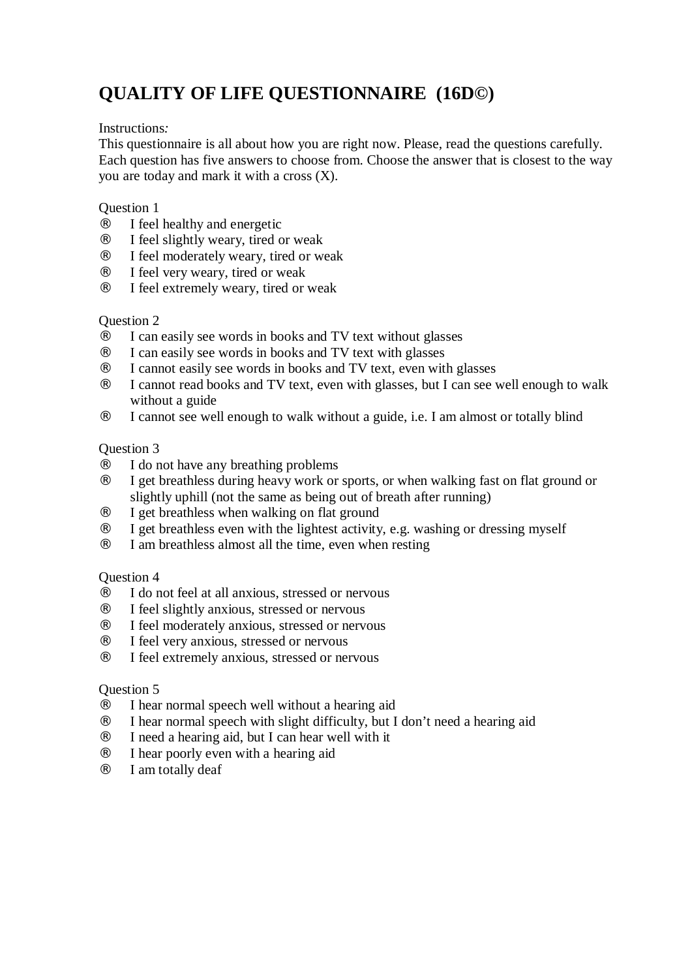# **QUALITY OF LIFE QUESTIONNAIRE (16D©)**

#### Instructions*:*

This questionnaire is all about how you are right now. Please, read the questions carefully. Each question has five answers to choose from. Choose the answer that is closest to the way you are today and mark it with a cross (X).

#### Question 1

- I feel healthy and energetic
- I feel slightly weary, tired or weak
- I feel moderately weary, tired or weak
- ¨ I feel very weary, tired or weak
- I feel extremely weary, tired or weak

# Question 2

- ¨ I can easily see words in books and TV text without glasses
- ¨ I can easily see words in books and TV text with glasses
- ¨ I cannot easily see words in books and TV text, even with glasses
- I cannot read books and TV text, even with glasses, but I can see well enough to walk without a guide
- I cannot see well enough to walk without a guide, i.e. I am almost or totally blind

#### Question 3

- ¨ I do not have any breathing problems
- I get breathless during heavy work or sports, or when walking fast on flat ground or slightly uphill (not the same as being out of breath after running)
- ¨ I get breathless when walking on flat ground
- ¨ I get breathless even with the lightest activity, e.g. washing or dressing myself
- I am breathless almost all the time, even when resting

# Question 4

- ¨ I do not feel at all anxious, stressed or nervous
- ¨ I feel slightly anxious, stressed or nervous
- ¨ I feel moderately anxious, stressed or nervous
- ¨ I feel very anxious, stressed or nervous
- I feel extremely anxious, stressed or nervous

# Question 5

- ¨ I hear normal speech well without a hearing aid
- ¨ I hear normal speech with slight difficulty, but I don't need a hearing aid
- ¨ I need a hearing aid, but I can hear well with it
- ¨ I hear poorly even with a hearing aid
- I am totally deaf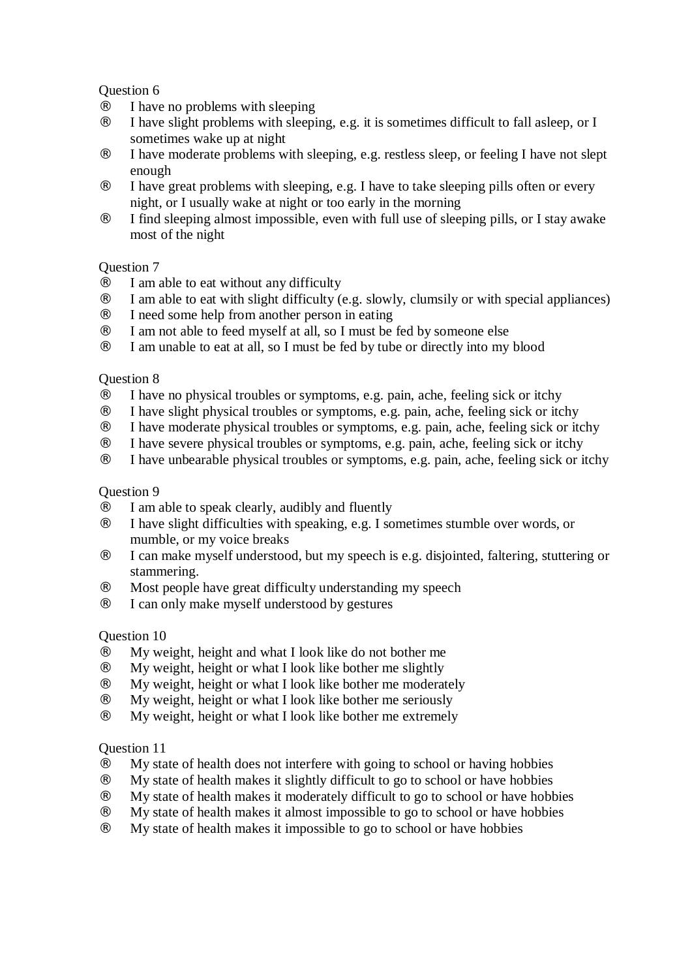# Question 6

- I have no problems with sleeping
- I have slight problems with sleeping, e.g. it is sometimes difficult to fall asleep, or I sometimes wake up at night
- ¨ I have moderate problems with sleeping, e.g. restless sleep, or feeling I have not slept enough
- ¨ I have great problems with sleeping, e.g. I have to take sleeping pills often or every night, or I usually wake at night or too early in the morning
- I find sleeping almost impossible, even with full use of sleeping pills, or I stay awake most of the night

# Question 7

- $\Gamma$  I am able to eat without any difficulty
- ¨ I am able to eat with slight difficulty (e.g. slowly, clumsily or with special appliances)
- ¨ I need some help from another person in eating
- ¨ I am not able to feed myself at all, so I must be fed by someone else
- I am unable to eat at all, so I must be fed by tube or directly into my blood

#### Question 8

- ¨ I have no physical troubles or symptoms, e.g. pain, ache, feeling sick or itchy
- ¨ I have slight physical troubles or symptoms, e.g. pain, ache, feeling sick or itchy
- ¨ I have moderate physical troubles or symptoms, e.g. pain, ache, feeling sick or itchy
- ¨ I have severe physical troubles or symptoms, e.g. pain, ache, feeling sick or itchy
- I have unbearable physical troubles or symptoms, e.g. pain, ache, feeling sick or itchy

#### Question 9

- ¨ I am able to speak clearly, audibly and fluently
- I have slight difficulties with speaking, e.g. I sometimes stumble over words, or mumble, or my voice breaks
- ¨ I can make myself understood, but my speech is e.g. disjointed, faltering, stuttering or stammering.
- ¨ Most people have great difficulty understanding my speech
- I can only make myself understood by gestures

# Question 10

- ¨ My weight, height and what I look like do not bother me
- My weight, height or what I look like bother me slightly
- My weight, height or what I look like bother me moderately
- My weight, height or what I look like bother me seriously
- My weight, height or what I look like bother me extremely

# Question 11

- ¨ My state of health does not interfere with going to school or having hobbies
- ¨ My state of health makes it slightly difficult to go to school or have hobbies
- ¨ My state of health makes it moderately difficult to go to school or have hobbies
- ¨ My state of health makes it almost impossible to go to school or have hobbies
- ¨ My state of health makes it impossible to go to school or have hobbies